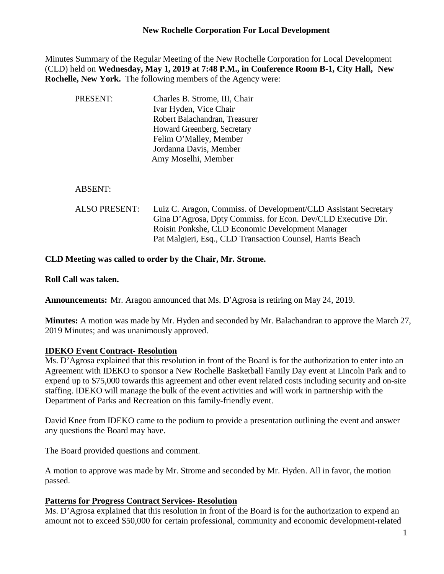# **New Rochelle Corporation For Local Development**

Minutes Summary of the Regular Meeting of the New Rochelle Corporation for Local Development (CLD) held on **Wednesday, May 1, 2019 at 7:48 P.M., in Conference Room B-1, City Hall, New Rochelle, New York.** The following members of the Agency were:

| PRESENT:                  | Charles B. Strome, III, Chair                     |
|---------------------------|---------------------------------------------------|
|                           | Ivar Hyden, Vice Chair                            |
|                           | Robert Balachandran, Treasurer                    |
|                           | Howard Greenberg, Secretary                       |
|                           | Felim O'Malley, Member                            |
|                           | Jordanna Davis, Member                            |
|                           | Amy Moselhi, Member                               |
|                           |                                                   |
| <b>ABSENT:</b>            |                                                   |
| ALSO PRESENT <sup>.</sup> | Luiz C Aragon Commiss of Development/CLD Assistan |

ALSO PRESENT: Luiz C. Aragon, Commiss. of Development/CLD Assistant Secretary Gina D'Agrosa, Dpty Commiss. for Econ. Dev/CLD Executive Dir. Roisin Ponkshe, CLD Economic Development Manager Pat Malgieri, Esq., CLD Transaction Counsel, Harris Beach

## **CLD Meeting was called to order by the Chair, Mr. Strome.**

### **Roll Call was taken.**

**Announcements:** Mr. Aragon announced that Ms. D'Agrosa is retiring on May 24, 2019.

**Minutes:** A motion was made by Mr. Hyden and seconded by Mr. Balachandran to approve the March 27, 2019 Minutes; and was unanimously approved.

#### **IDEKO Event Contract- Resolution**

Ms. D'Agrosa explained that this resolution in front of the Board is for the authorization to enter into an Agreement with IDEKO to sponsor a New Rochelle Basketball Family Day event at Lincoln Park and to expend up to \$75,000 towards this agreement and other event related costs including security and on-site staffing. IDEKO will manage the bulk of the event activities and will work in partnership with the Department of Parks and Recreation on this family-friendly event.

David Knee from IDEKO came to the podium to provide a presentation outlining the event and answer any questions the Board may have.

The Board provided questions and comment.

A motion to approve was made by Mr. Strome and seconded by Mr. Hyden. All in favor, the motion passed.

## **Patterns for Progress Contract Services- Resolution**

Ms. D'Agrosa explained that this resolution in front of the Board is for the authorization to expend an amount not to exceed \$50,000 for certain professional, community and economic development-related